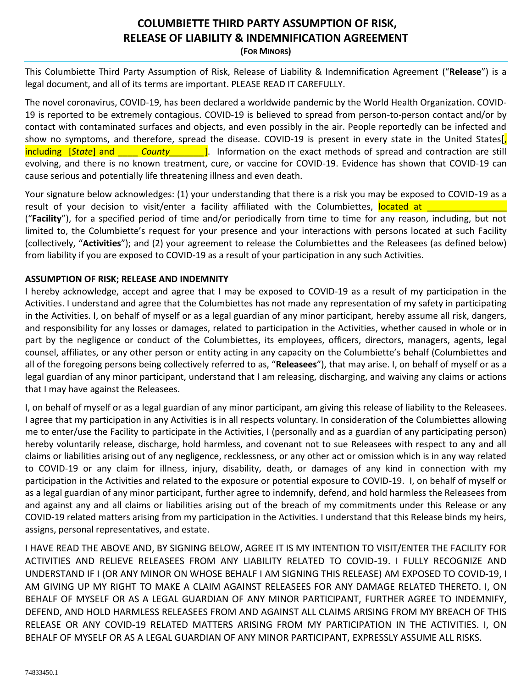## **COLUMBIETTE THIRD PARTY ASSUMPTION OF RISK, RELEASE OF LIABILITY & INDEMNIFICATION AGREEMENT**

**(FOR MINORS)**

This Columbiette Third Party Assumption of Risk, Release of Liability & Indemnification Agreement ("**Release**") is a legal document, and all of its terms are important. PLEASE READ IT CAREFULLY.

The novel coronavirus, COVID-19, has been declared a worldwide pandemic by the World Health Organization. COVID-19 is reported to be extremely contagious. COVID-19 is believed to spread from person-to-person contact and/or by contact with contaminated surfaces and objects, and even possibly in the air. People reportedly can be infected and show no symptoms, and therefore, spread the disease. COVID-19 is present in every state in the United States[, including [*State*] and \_\_\_\_ *County\_\_\_\_\_\_\_*]. Information on the exact methods of spread and contraction are still evolving, and there is no known treatment, cure, or vaccine for COVID-19. Evidence has shown that COVID-19 can cause serious and potentially life threatening illness and even death.

Your signature below acknowledges: (1) your understanding that there is a risk you may be exposed to COVID-19 as a result of your decision to visit/enter a facility affiliated with the Columbiettes, located at ("**Facility**"), for a specified period of time and/or periodically from time to time for any reason, including, but not

limited to, the Columbiette's request for your presence and your interactions with persons located at such Facility (collectively, "**Activities**"); and (2) your agreement to release the Columbiettes and the Releasees (as defined below) from liability if you are exposed to COVID-19 as a result of your participation in any such Activities.

## **ASSUMPTION OF RISK; RELEASE AND INDEMNITY**

I hereby acknowledge, accept and agree that I may be exposed to COVID-19 as a result of my participation in the Activities. I understand and agree that the Columbiettes has not made any representation of my safety in participating in the Activities. I, on behalf of myself or as a legal guardian of any minor participant, hereby assume all risk, dangers, and responsibility for any losses or damages, related to participation in the Activities, whether caused in whole or in part by the negligence or conduct of the Columbiettes, its employees, officers, directors, managers, agents, legal counsel, affiliates, or any other person or entity acting in any capacity on the Columbiette's behalf (Columbiettes and all of the foregoing persons being collectively referred to as, "**Releasees**"), that may arise. I, on behalf of myself or as a legal guardian of any minor participant, understand that I am releasing, discharging, and waiving any claims or actions that I may have against the Releasees.

I, on behalf of myself or as a legal guardian of any minor participant, am giving this release of liability to the Releasees. I agree that my participation in any Activities is in all respects voluntary. In consideration of the Columbiettes allowing me to enter/use the Facility to participate in the Activities, I (personally and as a guardian of any participating person) hereby voluntarily release, discharge, hold harmless, and covenant not to sue Releasees with respect to any and all claims or liabilities arising out of any negligence, recklessness, or any other act or omission which is in any way related to COVID-19 or any claim for illness, injury, disability, death, or damages of any kind in connection with my participation in the Activities and related to the exposure or potential exposure to COVID-19. I, on behalf of myself or as a legal guardian of any minor participant, further agree to indemnify, defend, and hold harmless the Releasees from and against any and all claims or liabilities arising out of the breach of my commitments under this Release or any COVID-19 related matters arising from my participation in the Activities. I understand that this Release binds my heirs, assigns, personal representatives, and estate.

I HAVE READ THE ABOVE AND, BY SIGNING BELOW, AGREE IT IS MY INTENTION TO VISIT/ENTER THE FACILITY FOR ACTIVITIES AND RELIEVE RELEASEES FROM ANY LIABILITY RELATED TO COVID-19. I FULLY RECOGNIZE AND UNDERSTAND IF I (OR ANY MINOR ON WHOSE BEHALF I AM SIGNING THIS RELEASE) AM EXPOSED TO COVID-19, I AM GIVING UP MY RIGHT TO MAKE A CLAIM AGAINST RELEASEES FOR ANY DAMAGE RELATED THERETO. I, ON BEHALF OF MYSELF OR AS A LEGAL GUARDIAN OF ANY MINOR PARTICIPANT, FURTHER AGREE TO INDEMNIFY, DEFEND, AND HOLD HARMLESS RELEASEES FROM AND AGAINST ALL CLAIMS ARISING FROM MY BREACH OF THIS RELEASE OR ANY COVID-19 RELATED MATTERS ARISING FROM MY PARTICIPATION IN THE ACTIVITIES. I, ON BEHALF OF MYSELF OR AS A LEGAL GUARDIAN OF ANY MINOR PARTICIPANT, EXPRESSLY ASSUME ALL RISKS.